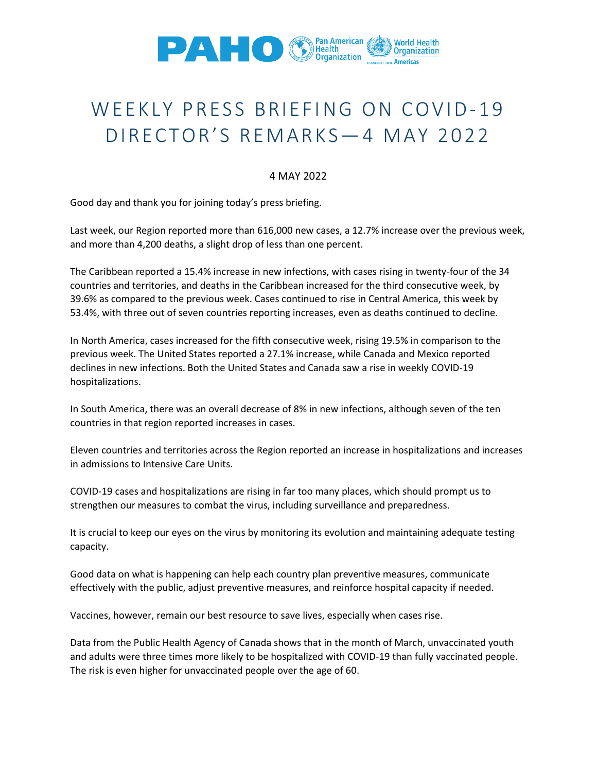

## WEEKLY PRESS BRIEFING ON COVID-19 DIRECTOR'S REMARKS—4 MAY 2022

## 4 MAY 2022

Good day and thank you for joining today's press briefing.

Last week, our Region reported more than 616,000 new cases, a 12.7% increase over the previous week, and more than 4,200 deaths, a slight drop of less than one percent.

The Caribbean reported a 15.4% increase in new infections, with cases rising in twenty-four of the 34 countries and territories, and deaths in the Caribbean increased for the third consecutive week, by 39.6% as compared to the previous week. Cases continued to rise in Central America, this week by 53.4%, with three out of seven countries reporting increases, even as deaths continued to decline.

In North America, cases increased for the fifth consecutive week, rising 19.5% in comparison to the previous week. The United States reported a 27.1% increase, while Canada and Mexico reported declines in new infections. Both the United States and Canada saw a rise in weekly COVID-19 hospitalizations.

In South America, there was an overall decrease of 8% in new infections, although seven of the ten countries in that region reported increases in cases.

Eleven countries and territories across the Region reported an increase in hospitalizations and increases in admissions to Intensive Care Units.

COVID-19 cases and hospitalizations are rising in far too many places, which should prompt us to strengthen our measures to combat the virus, including surveillance and preparedness.

It is crucial to keep our eyes on the virus by monitoring its evolution and maintaining adequate testing capacity.

Good data on what is happening can help each country plan preventive measures, communicate effectively with the public, adjust preventive measures, and reinforce hospital capacity if needed.

Vaccines, however, remain our best resource to save lives, especially when cases rise.

Data from the Public Health Agency of Canada shows that in the month of March, unvaccinated youth and adults were three times more likely to be hospitalized with COVID-19 than fully vaccinated people. The risk is even higher for unvaccinated people over the age of 60.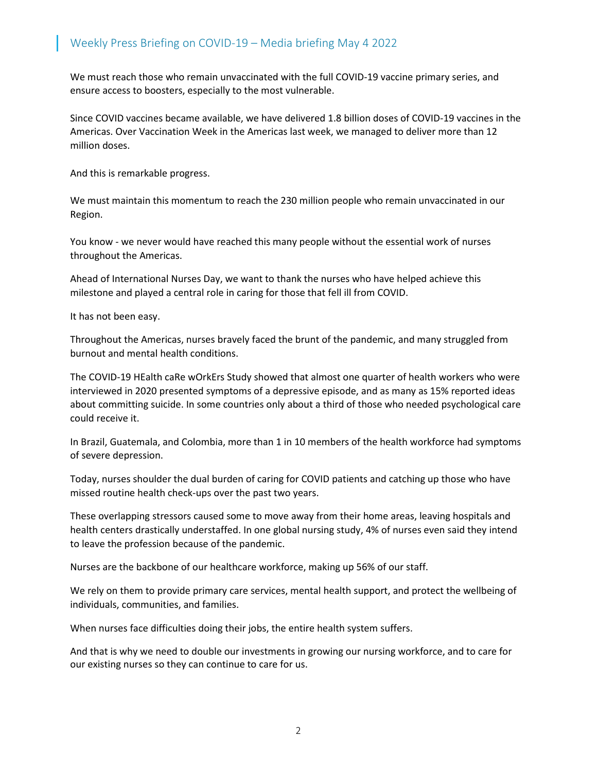We must reach those who remain unvaccinated with the full COVID-19 vaccine primary series, and ensure access to boosters, especially to the most vulnerable.

Since COVID vaccines became available, we have delivered 1.8 billion doses of COVID-19 vaccines in the Americas. Over Vaccination Week in the Americas last week, we managed to deliver more than 12 million doses.

And this is remarkable progress.

We must maintain this momentum to reach the 230 million people who remain unvaccinated in our Region.

You know - we never would have reached this many people without the essential work of nurses throughout the Americas.

Ahead of International Nurses Day, we want to thank the nurses who have helped achieve this milestone and played a central role in caring for those that fell ill from COVID.

It has not been easy.

Throughout the Americas, nurses bravely faced the brunt of the pandemic, and many struggled from burnout and mental health conditions.

The COVID-19 HEalth caRe wOrkErs Study showed that almost one quarter of health workers who were interviewed in 2020 presented symptoms of a depressive episode, and as many as 15% reported ideas about committing suicide. In some countries only about a third of those who needed psychological care could receive it.

In Brazil, Guatemala, and Colombia, more than 1 in 10 members of the health workforce had symptoms of severe depression.

Today, nurses shoulder the dual burden of caring for COVID patients and catching up those who have missed routine health check-ups over the past two years.

These overlapping stressors caused some to move away from their home areas, leaving hospitals and health centers drastically understaffed. In one global nursing study, 4% of nurses even said they intend to leave the profession because of the pandemic.

Nurses are the backbone of our healthcare workforce, making up 56% of our staff.

We rely on them to provide primary care services, mental health support, and protect the wellbeing of individuals, communities, and families.

When nurses face difficulties doing their jobs, the entire health system suffers.

And that is why we need to double our investments in growing our nursing workforce, and to care for our existing nurses so they can continue to care for us.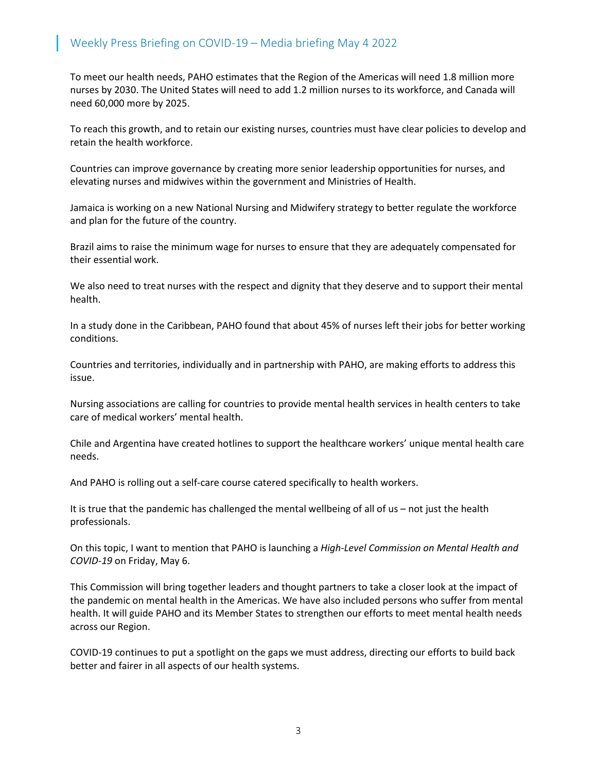## Weekly Press Briefing on COVID-19 – Media briefing May 4 2022

To meet our health needs, PAHO estimates that the Region of the Americas will need 1.8 million more nurses by 2030. The United States will need to add 1.2 million nurses to its workforce, and Canada will need 60,000 more by 2025.

To reach this growth, and to retain our existing nurses, countries must have clear policies to develop and retain the health workforce.

Countries can improve governance by creating more senior leadership opportunities for nurses, and elevating nurses and midwives within the government and Ministries of Health.

Jamaica is working on a new National Nursing and Midwifery strategy to better regulate the workforce and plan for the future of the country.

Brazil aims to raise the minimum wage for nurses to ensure that they are adequately compensated for their essential work.

We also need to treat nurses with the respect and dignity that they deserve and to support their mental health.

In a study done in the Caribbean, PAHO found that about 45% of nurses left their jobs for better working conditions.

Countries and territories, individually and in partnership with PAHO, are making efforts to address this issue.

Nursing associations are calling for countries to provide mental health services in health centers to take care of medical workers' mental health.

Chile and Argentina have created hotlines to support the healthcare workers' unique mental health care needs.

And PAHO is rolling out a self-care course catered specifically to health workers.

It is true that the pandemic has challenged the mental wellbeing of all of us – not just the health professionals.

On this topic, I want to mention that PAHO is launching a *[High-Level Commission on Mental Health and](https://www.paho.org/en/events/launch-high-level-commission-mental-health-and-covid-19)  COVID-19* [on Friday, May 6.](https://www.paho.org/en/events/launch-high-level-commission-mental-health-and-covid-19)

This Commission will bring together leaders and thought partners to take a closer look at the impact of the pandemic on mental health in the Americas. We have also included persons who suffer from mental health. It will guide PAHO and its Member States to strengthen our efforts to meet mental health needs across our Region.

COVID-19 continues to put a spotlight on the gaps we must address, directing our efforts to build back better and fairer in all aspects of our health systems.